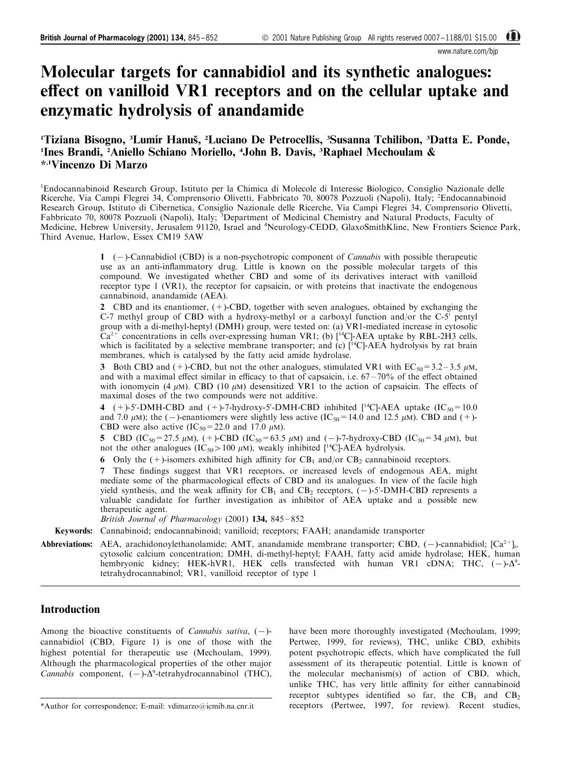www.nature.com/bin

# Molecular targets for cannabidiol and its synthetic analogues: effect on vanilloid VR1 receptors and on the cellular uptake and enzymatic hydrolysis of anandamide

# <sup>1</sup>Tiziana Bisogno, <sup>3</sup>Lumír Hanuš, <sup>2</sup>Luciano De Petrocellis, <sup>3</sup>Susanna Tchilibon, <sup>3</sup>Datta E. Ponde, <sup>1</sup>Ines Brandi, <sup>2</sup>Aniello Schiano Moriello, <sup>4</sup>John B. Davis, <sup>3</sup>Raphael Mechoulam & \*,1Vincenzo Di Marzo

1 Endocannabinoid Research Group, Istituto per la Chimica di Molecole di Interesse Biologico, Consiglio Nazionale delle Ricerche, Via Campi Flegrei 34, Comprensorio Olivetti, Fabbricato 70, 80078 Pozzuoli (Napoli), Italy; <sup>2</sup>Endocannabinoid Research Group, Istituto di Cibernetica, Consiglio Nazionale delle Ricerche, Via Campi Flegrei 34, Comprensorio Olivetti, Fabbricato 70, 80078 Pozzuoli (Napoli), Italy; <sup>3</sup>Department of Medicinal Chemistry and Natural Products, Faculty of Medicine, Hebrew University, Jerusalem 91120, Israel and <sup>4</sup>Neurology-CEDD, GlaxoSmithKline, New Frontiers Science Park, Third Avenue, Harlow, Essex CM19 5AW

> 1  $(-)$ -Cannabidiol (CBD) is a non-psychotropic component of *Cannabis* with possible therapeutic use as an anti-inflammatory drug. Little is known on the possible molecular targets of this compound. We investigated whether CBD and some of its derivatives interact with vanilloid receptor type 1 (VR1), the receptor for capsaicin, or with proteins that inactivate the endogenous cannabinoid, anandamide (AEA).

> 2 CBD and its enantiomer,  $(+)$ -CBD, together with seven analogues, obtained by exchanging the C-7 methyl group of CBD with a hydroxy-methyl or a carboxyl function and/or the C-5' pentyl group with a di-methyl-heptyl (DMH) group, were tested on: (a) VR1-mediated increase in cytosolic  $Ca^{2+}$  concentrations in cells over-expressing human VR1; (b) [<sup>14</sup>C]-AEA uptake by RBL-2H3 cells, which is facilitated by a selective membrane transporter; and (c) [<sup>14</sup>C]-AEA hydrolysis by rat brain membranes, which is catalysed by the fatty acid amide hydrolase.

> 3 Both CBD and (+)-CBD, but not the other analogues, stimulated VR1 with  $EC_{50} = 3.2 - 3.5 \mu M$ , and with a maximal effect similar in efficacy to that of capsaicin, i.e.  $67 - 70\%$  of the effect obtained with ionomycin (4  $\mu$ M). CBD (10  $\mu$ M) desensitized VR1 to the action of capsaicin. The effects of maximal doses of the two compounds were not additive.

> 4 (+)-5'-DMH-CBD and (+)-7-hydroxy-5'-DMH-CBD inhibited  $[^{14}C]$ -AEA uptake (IC<sub>50</sub> = 10.0) and 7.0  $\mu$ M); the (-)-enantiomers were slightly less active (IC<sub>50</sub>=14.0 and 12.5  $\mu$ M). CBD and (+)-CBD were also active  $(IC_{50} = 22.0$  and 17.0  $\mu$ M).

> 5 CBD (IC<sub>50</sub>=27.5  $\mu$ M), (+)-CBD (IC<sub>50</sub>=63.5  $\mu$ M) and (-)-7-hydroxy-CBD (IC<sub>50</sub>=34  $\mu$ M), but not the other analogues (IC<sub>50</sub>>100  $\mu$ M), weakly inhibited [<sup>14</sup>C]-AEA hydrolysis.

6 Only the  $(+)$ -isomers exhibited high affinity for CB<sub>1</sub> and/or CB<sub>2</sub> cannabinoid receptors.

7 These findings suggest that VR1 receptors, or increased levels of endogenous AEA, might mediate some of the pharmacological effects of CBD and its analogues. In view of the facile high yield synthesis, and the weak affinity for  $CB_1$  and  $CB_2$  receptors,  $(-)$ -5'-DMH-CBD represents a valuable candidate for further investigation as inhibitor of AEA uptake and a possible new therapeutic agent.

British Journal of Pharmacology (2001)  $134$ ,  $845 - 852$ 

Keywords: Cannabinoid; endocannabinoid; vanilloid; receptors; FAAH; anandamide transporter

Abbreviations: AEA, arachidonoylethanolamide; AMT, anandamide membrane transporter; CBD,  $(-)$ -cannabidiol;  $[Ca^{2+}]_i$ , cytosolic calcium concentration; DMH, di-methyl-heptyl; FAAH, fatty acid amide hydrolase; HEK, human hembryonic kidney; HEK-hVR1, HEK cells transfected with human VR1 cDNA; THC,  $(-)$ - $\Delta^9$ tetrahydrocannabinol; VR1, vanilloid receptor of type 1

# Introduction

Among the bioactive constituents of *Cannabis sativa*,  $(-)$ cannabidiol (CBD, [Figure 1\)](#page-1-0) is one of those with the highest potential for therapeutic use [\(Mechoulam, 1999\)](#page-7-0). Although the pharmacological properties of the other major Cannabis component,  $(-)$ - $\Delta^9$ -tetrahydrocannabinol (THC),

\*Author for correspondence; E-mail: vdimarzo@icmib.na.cnr.it

have been more thoroughly investigated [\(Mechoulam, 1999;](#page-7-0) [Pertwee, 1999,](#page-7-0) for reviews), THC, unlike CBD, exhibits potent psychotropic effects, which have complicated the full assessment of its therapeutic potential. Little is known of the molecular mechanism(s) of action of CBD, which, unlike THC, has very little affinity for either cannabinoid receptor subtypes identified so far, the  $CB_1$  and  $CB_2$ receptors [\(Pertwee, 1997,](#page-7-0) for review). Recent studies,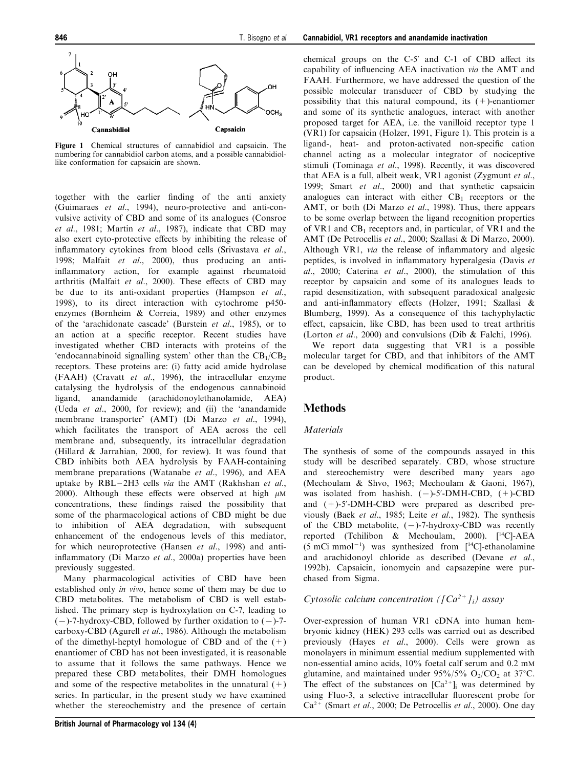<span id="page-1-0"></span>

Figure 1 Chemical structures of cannabidiol and capsaicin. The numbering for cannabidiol carbon atoms, and a possible cannabidiollike conformation for capsaicin are shown.

together with the earlier finding of the anti anxiety ([Guimaraes](#page-6-0) [et al](#page-6-0)[., 1994](#page-6-0)), neuro-protective and anti-convulsive activity of CBD and some of its analogues ([Consroe](#page-6-0) [et al](#page-6-0)[., 1981](#page-6-0); [Martin](#page-7-0) [et al](#page-7-0)[., 1987](#page-7-0)), indicate that CBD may also exert cyto-protective effects by inhibiting the release of inflammatory cytokines from blood cells [\(Srivastava](#page-7-0) [et al](#page-7-0)[.,](#page-7-0) [1998;](#page-7-0) [Malfait](#page-6-0) [et al](#page-6-0)[., 2000](#page-6-0)), thus producing an antiinflammatory action, for example against rheumatoid arthritis [\(Malfait](#page-6-0) [et al](#page-6-0)[., 2000\)](#page-6-0). These effects of CBD may be due to its anti-oxidant properties ([Hampson](#page-6-0) [et al](#page-6-0)[.,](#page-6-0) [1998\)](#page-6-0), to its direct interaction with cytochrome p450 enzymes ([Bornheim & Correia, 1989](#page-6-0)) and other enzymes of the `arachidonate cascade' [\(Burstein](#page-6-0) [et al](#page-6-0)[., 1985\)](#page-6-0), or to an action at a specific receptor. Recent studies have investigated whether CBD interacts with proteins of the 'endocannabinoid signalling system' other than the  $CB_1/CB_2$ receptors. These proteins are: (i) fatty acid amide hydrolase (FAAH) [\(Cravatt](#page-6-0) [et al](#page-6-0)[., 1996](#page-6-0)), the intracellular enzyme catalysing the hydrolysis of the endogenous cannabinoid ligand, anandamide (arachidonoylethanolamide, AEA) ([Ueda](#page-7-0) [et al](#page-7-0)[., 2000](#page-7-0), for review); and (ii) the `anandamide membrane transporter' (AMT) (Di Marzo et al., 1994), which facilitates the transport of AEA across the cell membrane and, subsequently, its intracellular degradation (Hillard & Jarrahian, 2000, for review). It was found that CBD inhibits both AEA hydrolysis by FAAH-containing membrane preparations ([Watanabe](#page-7-0) *[et al](#page-7-0).*, 1996), and AEA uptake by  $RBL-2H3$  cells via the AMT [\(Rakhshan](#page-7-0) [et al](#page-7-0)[.,](#page-7-0) [2000\)](#page-7-0). Although these effects were observed at high  $\mu$ M concentrations, these findings raised the possibility that some of the pharmacological actions of CBD might be due to inhibition of AEA degradation, with subsequent enhancement of the endogenous levels of this mediator, for which neuroprotective [\(Hansen](#page-6-0) [et al](#page-6-0)[., 1998](#page-6-0)) and antiinflammatory (Di Marzo et al., 2000a) properties have been previously suggested.

Many pharmacological activities of CBD have been established only in vivo, hence some of them may be due to CBD metabolites. The metabolism of CBD is well established. The primary step is hydroxylation on C-7, leading to  $(-)$ -7-hydroxy-CBD, followed by further oxidation to  $(-)$ -7carboxy-CBD [\(Agurell](#page-6-0) [et al](#page-6-0)[., 1986](#page-6-0)). Although the metabolism of the dimethyl-heptyl homologue of CBD and of the  $(+)$ enantiomer of CBD has not been investigated, it is reasonable to assume that it follows the same pathways. Hence we prepared these CBD metabolites, their DMH homologues and some of the respective metabolites in the unnatural  $(+)$ series. In particular, in the present study we have examined whether the stereochemistry and the presence of certain chemical groups on the  $C-5'$  and  $C-1$  of CBD affect its capability of influencing AEA inactivation via the AMT and FAAH. Furthermore, we have addressed the question of the possible molecular transducer of CBD by studying the possibility that this natural compound, its  $(+)$ -enantiomer and some of its synthetic analogues, interact with another proposed target for AEA, i.e. the vanilloid receptor type 1 (VR1) for capsaicin [\(Holzer, 1991](#page-6-0), Figure 1). This protein is a ligand-, heat- and proton-activated non-specific cation channel acting as a molecular integrator of nociceptive stimuli ([Tominaga](#page-7-0) [et al](#page-7-0)[., 1998\)](#page-7-0). Recently, it was discovered that AEA is a full, albeit weak, VR1 agonist [\(Zygmunt](#page-7-0) [et al](#page-7-0)[.,](#page-7-0) [1999; Smart](#page-7-0) [et al](#page-7-0)[., 2000\)](#page-7-0) and that synthetic capsaicin analogues can interact with either  $CB_1$  receptors or the AMT, or both (Di Marzo *et al.*, 1998). Thus, there appears to be some overlap between the ligand recognition properties of VR1 and  $CB_1$  receptors and, in particular, of VR1 and the AMT [\(De Petrocellis](#page-6-0) [et al](#page-6-0)[., 2000;](#page-6-0) Szallasi & Di Marzo, 2000). Although VR1, via the release of inflammatory and algesic peptides, is involved in inflammatory hyperalgesia ([Davis](#page-6-0)  $et$ [al](#page-6-0)[., 2000; Caterina](#page-6-0) [et al](#page-6-0)[., 2000](#page-6-0)), the stimulation of this receptor by capsaicin and some of its analogues leads to rapid desensitization, with subsequent paradoxical analgesic and anti-inflammatory effects ([Holzer, 1991](#page-6-0); [Szallasi &](#page-7-0) [Blumberg, 1999\)](#page-7-0). As a consequence of this tachyphylactic effect, capsaicin, like CBD, has been used to treat arthritis ([Lorton](#page-6-0) [et al](#page-6-0)[., 2000](#page-6-0)) and convulsions [\(Dib & Falchi, 1996](#page-6-0)).

We report data suggesting that VR1 is a possible molecular target for CBD, and that inhibitors of the AMT can be developed by chemical modification of this natural product.

# Methods

## **Materials**

The synthesis of some of the compounds assayed in this study will be described separately. CBD, whose structure and stereochemistry were described many years ago ([Mechoulam & Shvo, 1963; Mechoulam & Gaoni, 1967](#page-7-0)), was isolated from hashish.  $(-)-5'$ -DMH-CBD,  $(+)-CBD$ and  $(+)$ -5'-DMH-CBD were prepared as described previously [\(Baek](#page-6-0) [et al](#page-6-0)[., 1985](#page-6-0); [Leite](#page-6-0) [et al](#page-6-0)[., 1982\)](#page-6-0). The synthesis of the CBD metabolite,  $(-)-7$ -hydroxy-CBD was recently reported [\(Tchilibon & Mechoulam, 2000](#page-7-0)). [14C]-AEA  $(5 \text{ mCi mmol}^{-1})$  was synthesized from  $[$ <sup>14</sup>C]-ethanolamine and arachidonoyl chloride as described (Devane et al., 1992b). Capsaicin, ionomycin and capsazepine were purchased from Sigma.

# Cytosolic calcium concentration  $(\int Ca^{2+} \infty)$  assay

Over-expression of human VR1 cDNA into human hembryonic kidney (HEK) 293 cells was carried out as described previously [\(Hayes](#page-6-0) [et al](#page-6-0)[., 2000\)](#page-6-0). Cells were grown as monolayers in minimum essential medium supplemented with non-essential amino acids, 10% foetal calf serum and 0.2 mM glutamine, and maintained under  $95\%/5\%$  O<sub>2</sub>/CO<sub>2</sub> at 37°C. The effect of the substances on  $[Ca^{2+}]$ <sub>i</sub> was determined by using Fluo-3, a selective intracellular fluorescent probe for  $Ca^{2+}$  [\(Smart](#page-7-0) *[et al](#page-6-0).*, 2000; [De Petrocellis](#page-6-0) *et al.*, 2000). One day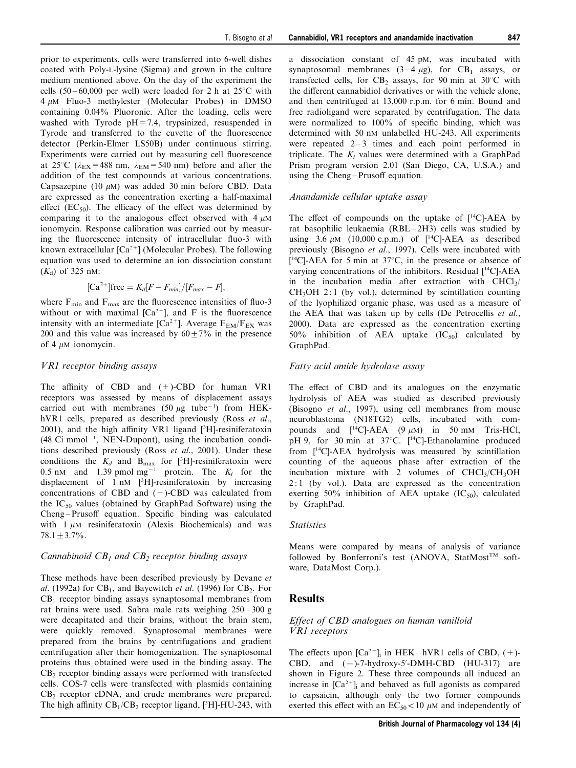prior to experiments, cells were transferred into 6-well dishes coated with Poly-L-lysine (Sigma) and grown in the culture medium mentioned above. On the day of the experiment the cells  $(50 - 60,000$  per well) were loaded for 2 h at  $25^{\circ}$ C with  $4 \mu$ M Fluo-3 methylester (Molecular Probes) in DMSO containing 0.04% Pluoronic. After the loading, cells were washed with Tyrode  $pH = 7.4$ , trypsinized, resuspended in Tyrode and transferred to the cuvette of the fluorescence detector (Perkin-Elmer LS50B) under continuous stirring. Experiments were carried out by measuring cell fluorescence at 25<sup>°</sup>C ( $\lambda_{EX}$ =488 nm,  $\lambda_{EM}$ =540 nm) before and after the addition of the test compounds at various concentrations. Capsazepine (10  $\mu$ M) was added 30 min before CBD. Data are expressed as the concentration exerting a half-maximal effect (EC<sub>50</sub>). The efficacy of the effect was determined by comparing it to the analogous effect observed with  $4 \mu M$ ionomycin. Response calibration was carried out by measuring the fluorescence intensity of intracellular fluo-3 with known extracellular  $[Ca^{2+}]$  (Molecular Probes). The following equation was used to determine an ion dissociation constant  $(K_d)$  of 325 nM:

$$
[\text{Ca}^{2+}]\text{free}=K_d[F-F_{min}]/[F_{max}-F],
$$

where  $F_{\text{min}}$  and  $F_{\text{max}}$  are the fluorescence intensities of fluo-3 without or with maximal  $[Ca^{2+}]$ , and F is the fluorescence intensity with an intermediate  $[Ca^{2+}]$ . Average  $F_{EM}/F_{EX}$  was 200 and this value was increased by  $60 + 7\%$  in the presence of 4  $\mu$ M ionomycin.

#### VR1 receptor binding assays

The affinity of CBD and  $(+)$ -CBD for human VR1 receptors was assessed by means of displacement assays carried out with membranes  $(50 \ \mu g \text{ tube}^{-1})$  from HEK-hVR1 cells, prepared as described previously ([Ross](#page-7-0) [et al](#page-7-0)[.,](#page-7-0)  $2001$ ), and the high affinity VR1 ligand [ $3H$ ]-resiniferatoxin  $(48 \text{ Ci mmol}^{-1}, \text{NEN-Dupont})$ , using the incubation conditions described previously [\(Ross](#page-7-0) [et al](#page-7-0)[., 2001](#page-7-0)). Under these conditions the  $K_d$  and  $B_{\text{max}}$  for [3H]-resiniferatoxin were 0.5 nM and 1.39 pmol mg<sup>-1</sup> protein. The  $K_i$  for the displacement of 1 nM [ 3 H]-resiniferatoxin by increasing concentrations of CBD and (+)-CBD was calculated from the  $IC_{50}$  values (obtained by GraphPad Software) using the Cheng-Prusoff equation. Specific binding was calculated with  $1 \mu M$  resiniferatoxin (Alexis Biochemicals) and was  $78.1 + 3.7\%$ .

#### Cannabinoid  $CB_1$  and  $CB_2$  receptor binding assays

These methods have been described previously by [Devane](#page-6-0) [et](#page-6-0) [al](#page-6-0)[. \(1992a\)](#page-6-0) for  $CB_1$ , and [Bayewitch](#page-6-0) [et al](#page-6-0)[. \(1996\)](#page-6-0) for  $CB_2$ . For  $CB<sub>1</sub>$  receptor binding assays synaptosomal membranes from rat brains were used. Sabra male rats weighing  $250 - 300$  g were decapitated and their brains, without the brain stem, were quickly removed. Synaptosomal membranes were prepared from the brains by centrifugations and gradient centrifugation after their homogenization. The synaptosomal proteins thus obtained were used in the binding assay. The  $CB<sub>2</sub>$  receptor binding assays were performed with transfected cells. COS-7 cells were transfected with plasmids containing CB<sub>2</sub> receptor cDNA, and crude membranes were prepared. The high affinity  $CB_1/CB_2$  receptor ligand, [3H]-HU-243, with

a dissociation constant of 45 pM, was incubated with synaptosomal membranes  $(3-4 \mu g)$ , for CB<sub>1</sub> assays, or transfected cells, for  $CB_2$  assays, for 90 min at 30°C with the different cannabidiol derivatives or with the vehicle alone, and then centrifuged at 13,000 r.p.m. for 6 min. Bound and free radioligand were separated by centrifugation. The data were normalized to  $100\%$  of specific binding, which was determined with 50 nM unlabelled HU-243. All experiments were repeated  $2-3$  times and each point performed in triplicate. The  $K_i$  values were determined with a GraphPad Prism program version 2.01 (San Diego, CA, U.S.A.) and using the  $Cheng-Prusoff$  equation.

#### Anandamide cellular uptake assay

The effect of compounds on the uptake of  $[$ <sup>14</sup>C]-AEA by rat basophilic leukaemia (RBL $-2H3$ ) cells was studied by using  $3.6 \mu M$  (10,000 c.p.m.) of [<sup>14</sup>C]-AEA as described previously [\(Bisogno](#page-6-0) [et al](#page-6-0)[., 1997](#page-6-0)). Cells were incubated with  $[$ <sup>14</sup>C]-AEA for 5 min at 37 $\degree$ C, in the presence or absence of varying concentrations of the inhibitors. Residual [14C]-AEA in the incubation media after extraction with  $CHCl<sub>3</sub>/$  $CH<sub>3</sub>OH$  2:1 (by vol.), determined by scintillation counting of the lyophilized organic phase, was used as a measure of the AEA that was taken up by cells [\(De Petrocellis](#page-6-0) [et al](#page-6-0)[.,](#page-6-0) [2000\)](#page-6-0). Data are expressed as the concentration exerting 50% inhibition of AEA uptake  $(IC_{50})$  calculated by GraphPad.

#### Fatty acid amide hydrolase assay

The effect of CBD and its analogues on the enzymatic hydrolysis of AEA was studied as described previously ([Bisogno](#page-6-0) [et al](#page-6-0)[., 1997\)](#page-6-0), using cell membranes from mouse neuroblastoma (N18TG2) cells, incubated with compounds and  $[$ <sup>14</sup>C]-AEA (9  $\mu$ M) in 50 mM Tris-HCl, pH 9, for 30 min at 37°C. [<sup>14</sup>C]-Ethanolamine produced from [14C]-AEA hydrolysis was measured by scintillation counting of the aqueous phase after extraction of the incubation mixture with 2 volumes of  $CHCl<sub>3</sub>/CH<sub>3</sub>OH$ 2 : 1 (by vol.). Data are expressed as the concentration exerting 50% inhibition of AEA uptake  $(IC_{50})$ , calculated by GraphPad.

#### **Statistics**

Means were compared by means of analysis of variance followed by Bonferroni's test (ANOVA, StatMost<sup>TM</sup> software, DataMost Corp.).

#### Results

## Effect of CBD analogues on human vanilloid VR1 receptors

The effects upon  $[Ca^{2+}]$ ; in HEK -hVR1 cells of CBD,  $(+)$ -CBD, and  $(-)$ -7-hydroxy-5'-DMH-CBD (HU-317) are shown in [Figure 2](#page-3-0). These three compounds all induced an increase in  $[Ca^{2+}]$  and behaved as full agonists as compared to capsaicin, although only the two former compounds exerted this effect with an  $EC_{50}$  < 10  $\mu$ M and independently of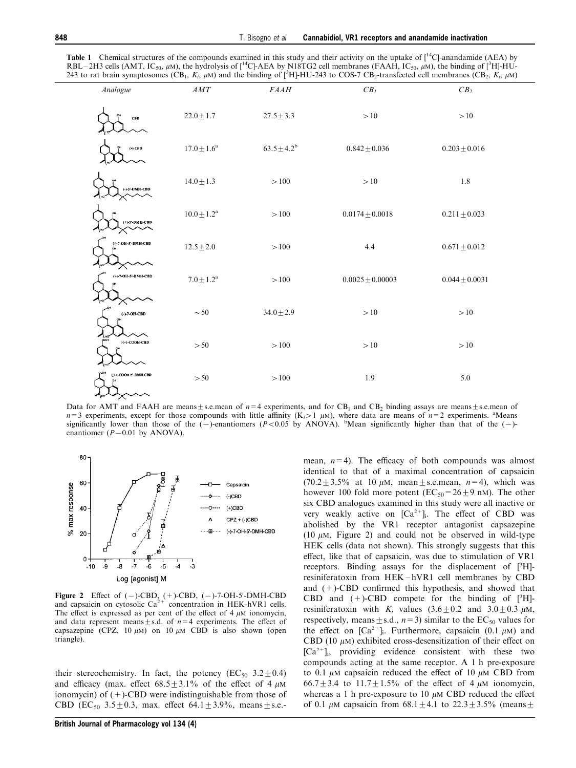<span id="page-3-0"></span>

|                                     |                        |                  | 243 to rat brain synaptosomes (CB <sub>1</sub> , K <sub>i</sub> , $\mu$ M) and the binding of [ <sup>3</sup> H]-HU-243 to COS-7 CB <sub>2</sub> -transfected cell membranes (CB <sub>2</sub> , K <sub>i</sub> , $\mu$ M) |                   |
|-------------------------------------|------------------------|------------------|--------------------------------------------------------------------------------------------------------------------------------------------------------------------------------------------------------------------------|-------------------|
| Analogue                            | $AMT$                  | $FAAH$           | $\mathcal{C}\mathcal{B}_I$                                                                                                                                                                                               | CB <sub>2</sub>   |
| CBD                                 | $22.0 \pm 1.7$         | $27.5 \pm 3.3$   | >10                                                                                                                                                                                                                      | >10               |
| $(\bullet)$ -CBD                    | $17.0 \pm 1.6^{\rm a}$ | $63.5 \pm 4.2^b$ | $0.842 \pm 0.036$                                                                                                                                                                                                        | $0.203 \pm 0.016$ |
| $(-)-5$ <sup>L</sup> DMH-CBD        | $14.0 \pm 1.3$         | $>100$           | $> \! 10$                                                                                                                                                                                                                | 1.8               |
| $\left(+\right)\!\cdot\!5$ -DMH-CBD | $10.0 \pm 1.2^{\rm a}$ | $>100$           | $0.0174 \pm 0.0018$                                                                                                                                                                                                      | $0.211 \pm 0.023$ |
| (-)-7-OH-5-DMH-CBD                  | $12.5 \pm 2.0$         | >100             | 4.4                                                                                                                                                                                                                      | $0.671 \pm 0.012$ |
| $(+)$ -7-OH-5'-DMH-CBD              | $7.0\pm1.2^{\rm a}$    | $>100$           | $0.0025 \pm 0.00003$                                                                                                                                                                                                     | $0.044 + 0.0031$  |
| $(-) -7 - OH - CBD$                 | $\sim 50$              | $34.0 \pm 2.9$   | >10                                                                                                                                                                                                                      | >10               |
| $( - ) - 1 - COOH - CBD$            | $>50$                  | $>100$           | $> \! 10$                                                                                                                                                                                                                | $>10$             |
| (-)-1-COOH-5'-DMIN-CBD              | > 50                   | $>100$           | 1.9                                                                                                                                                                                                                      | 5.0               |

Data for AMT and FAAH are means $\pm$ s.e.mean of  $n=4$  experiments, and for CB<sub>1</sub> and CB<sub>2</sub> binding assays are means $\pm$ s.e.mean of  $n=3$  experiments, except for those compounds with little affinity (K<sub>i</sub>>1  $\mu$ M), where data are means of  $n=2$  experiments. <sup>a</sup>Means significantly lower than those of the  $(-)$ -enantiomers (P<0.05 by ANOVA). <sup>b</sup>Mean significantly higher than that of the  $(-)$ enantiomer  $(P-0.01$  by ANOVA).



Figure 2 Effect of  $(-)$ -CBD,  $(+)$ -CBD,  $(-)$ -7-OH-5'-DMH-CBD and capsaicin on cytosolic  $Ca^{2+}$  concentration in HEK-hVR1 cells. The effect is expressed as per cent of the effect of  $4 \mu$ M ionomycin, and data represent means  $\pm$  s.d. of  $n=4$  experiments. The effect of capsazepine (CPZ, 10  $\mu$ M) on 10  $\mu$ M CBD is also shown (open triangle).

their stereochemistry. In fact, the potency ( $EC_{50}$  3.2  $\pm$  0.4) and efficacy (max. effect  $68.5 \pm 3.1\%$  of the effect of 4  $\mu$ M ionomycin) of  $(+)$ -CBD were indistinguishable from those of CBD (EC<sub>50</sub> 3.5 + 0.3, max. effect 64.1 + 3.9%, means + s.e.- mean,  $n=4$ ). The efficacy of both compounds was almost identical to that of a maximal concentration of capsaicin  $(70.2 \pm 3.5\%$  at 10  $\mu$ M, mean  $\pm$  s.e.mean,  $n=4$ ), which was however 100 fold more potent ( $EC_{50} = 26 + 9$  nM). The other six CBD analogues examined in this study were all inactive or very weakly active on  $[Ca^{2+}]_i$ . The effect of CBD was abolished by the VR1 receptor antagonist capsazepine (10  $\mu$ M, Figure 2) and could not be observed in wild-type HEK cells (data not shown). This strongly suggests that this effect, like that of capsaicin, was due to stimulation of VR1 receptors. Binding assays for the displacement of [3H]resiniferatoxin from HEK-hVR1 cell membranes by CBD and  $(+)$ -CBD confirmed this hypothesis, and showed that CBD and  $(+)$ -CBD compete for the binding of  $[^3H]$ resiniferatoxin with  $K_i$  values  $(3.6 \pm 0.2 \text{ and } 3.0 \pm 0.3 \text{ }\mu\text{M})$ , respectively, means  $\pm$  s.d.,  $n=3$ ) similar to the EC<sub>50</sub> values for the effect on  $[Ca^{2+}]_i$ . Furthermore, capsaicin (0.1  $\mu$ M) and CBD (10  $\mu$ M) exhibited cross-desensitization of their effect on  $[Ca^{2+}]_i$ , providing evidence consistent with these two compounds acting at the same receptor. A 1 h pre-exposure to 0.1  $\mu$ M capsaicin reduced the effect of 10  $\mu$ M CBD from 66.7+3.4 to 11.7+1.5% of the effect of 4  $\mu$ M ionomycin, whereas a 1 h pre-exposure to 10  $\mu$ M CBD reduced the effect of 0.1  $\mu$ M capsaicin from 68.1  $\pm$  4.1 to 22.3  $\pm$  3.5% (means  $\pm$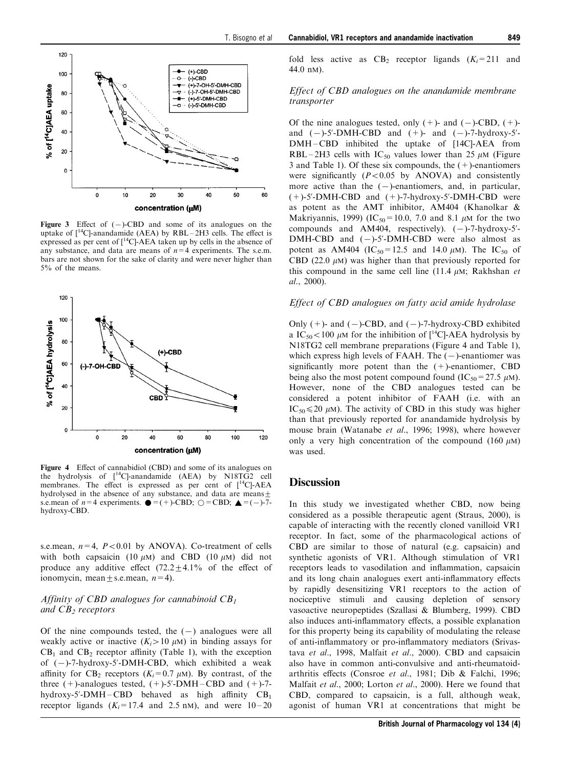

Figure 3 Effect of  $(-)$ -CBD and some of its analogues on the uptake of  $[{}^{14}$ Cl-anandamide (AEA) by RBL - 2H3 cells. The effect is expressed as per cent of  $\int_1^{14}$ Cl-AEA taken up by cells in the absence of any substance, and data are means of  $n=4$  experiments. The s.e.m. bars are not shown for the sake of clarity and were never higher than 5% of the means.



Figure 4 Effect of cannabidiol (CBD) and some of its analogues on the hydrolysis of  $\int_1^{14}$ Cl-anandamide (AEA) by N18TG<sub>2</sub> cell membranes. The effect is expressed as per cent of  $[$ <sup>14</sup>C]-AEA hydrolysed in the absence of any substance, and data are means $\pm$ s.e.mean of  $n=4$  experiments.  $\bullet = (+)$ -CBD;  $\bigcirc =$ CBD;  $\bullet = (-)$ -7hydroxy-CBD.

s.e.mean,  $n=4$ ,  $P<0.01$  by ANOVA). Co-treatment of cells with both capsaicin (10  $\mu$ M) and CBD (10  $\mu$ M) did not produce any additive effect  $(72.2+4.1\%$  of the effect of ionomycin, mean  $\pm$  s.e.mean,  $n=4$ ).

## Affinity of CBD analogues for cannabinoid  $CB<sub>1</sub>$ and  $CB<sub>2</sub>$  receptors

Of the nine compounds tested, the  $(-)$  analogues were all weakly active or inactive  $(K<sub>i</sub> > 10 \mu M)$  in binding assays for  $CB<sub>1</sub>$  and  $CB<sub>2</sub>$  receptor affinity (Table 1), with the exception of  $(-)$ -7-hydroxy-5'-DMH-CBD, which exhibited a weak affinity for CB<sub>2</sub> receptors  $(K<sub>i</sub>=0.7 \mu M)$ . By contrast, of the three  $(+)$ -analogues tested,  $(+)$ -5'-DMH – CBD and  $(+)$ -7hydroxy-5'-DMH – CBD behaved as high affinity  $CB_1$ receptor ligands  $(K<sub>i</sub>=17.4$  and 2.5 nM), and were  $10-20$  fold less active as  $CB_2$  receptor ligands  $(K<sub>i</sub>=211$  and 44.0 nM).

#### Effect of CBD analogues on the anandamide membrane transporter

Of the nine analogues tested, only  $(+)$ - and  $(-)$ -CBD,  $(+)$ and  $(-)-5'$ -DMH-CBD and  $(+)$ - and  $(-)-7$ -hydroxy-5'-DMH-CBD inhibited the uptake of [14C]-AEA from RBL – 2H3 cells with IC<sub>50</sub> values lower than 25  $\mu$ M (Figure 3 and Table 1). Of these six compounds, the  $(+)$ -enantiomers were significantly  $(P<0.05$  by ANOVA) and consistently more active than the  $(-)$ -enantiomers, and, in particular,  $(+)$ -5'-DMH-CBD and  $(+)$ -7-hydroxy-5'-DMH-CBD were as potent as the AMT inhibitor, AM404 [\(Khanolkar &](#page-6-0) [Makriyannis, 1999\)](#page-6-0) (IC<sub>50</sub> = 10.0, 7.0 and 8.1  $\mu$ M for the two compounds and AM404, respectively).  $(-)$ -7-hydroxy-5'- $DMH-CBD$  and  $(-)-5'$ -DMH-CBD were also almost as potent as AM404 (IC<sub>50</sub> = 12.5 and 14.0  $\mu$ M). The IC<sub>50</sub> of CBD (22.0  $\mu$ M) was higher than that previously reported for this compound in the same cell line (11.4  $\mu$ M; [Rakhshan](#page-7-0) *[et](#page-7-0)* [al](#page-7-0)[., 2000](#page-7-0)).

#### Effect of CBD analogues on fatty acid amide hydrolase

Only  $(+)$ - and  $(-)$ -CBD, and  $(-)$ -7-hydroxy-CBD exhibited a IC<sub>50</sub> $<$ 100  $\mu$ M for the inhibition of [<sup>14</sup>C]-AEA hydrolysis by N18TG2 cell membrane preparations (Figure 4 and Table 1), which express high levels of FAAH. The  $(-)$ -enantiomer was significantly more potent than the  $(+)$ -enantiomer, CBD being also the most potent compound found (IC<sub>50</sub>=27.5  $\mu$ M). However, none of the CBD analogues tested can be considered a potent inhibitor of FAAH (i.e. with an IC<sub>50</sub> $\leq$ 20  $\mu$ M). The activity of CBD in this study was higher than that previously reported for anandamide hydrolysis by mouse brain ([Watanabe](#page-7-0) [et al](#page-7-0)[., 1996](#page-7-0); 1998), where however only a very high concentration of the compound (160  $\mu$ M) was used.

#### **Discussion**

In this study we investigated whether CBD, now being considered as a possible therapeutic agent ([Straus, 2000\)](#page-7-0), is capable of interacting with the recently cloned vanilloid VR1 receptor. In fact, some of the pharmacological actions of CBD are similar to those of natural (e.g. capsaicin) and synthetic agonists of VR1. Although stimulation of VR1 receptors leads to vasodilation and inflammation, capsaicin and its long chain analogues exert anti-inflammatory effects by rapidly desensitizing VR1 receptors to the action of nociceptive stimuli and causing depletion of sensory vasoactive neuropeptides [\(Szallasi & Blumberg, 1999\)](#page-7-0). CBD also induces anti-inflammatory effects, a possible explanation for this property being its capability of modulating the release of anti-inflammatory or pro-inflammatory mediators ([Srivas](#page-7-0)[tava](#page-7-0) [et al](#page-6-0)[., 1998](#page-7-0), [Malfait](#page-6-0) et al[., 2000](#page-6-0)). CBD and capsaicin also have in common anti-convulsive and anti-rheumatoid-arthritis effects [\(Consroe](#page-6-0) [et al](#page-6-0)[., 1981](#page-6-0); [Dib & Falchi, 1996;](#page-6-0) [Malfait](#page-6-0) [et al](#page-6-0)[., 2000; Lorton](#page-6-0) [et al](#page-6-0)[., 2000\)](#page-6-0). Here we found that CBD, compared to capsaicin, is a full, although weak, agonist of human VR1 at concentrations that might be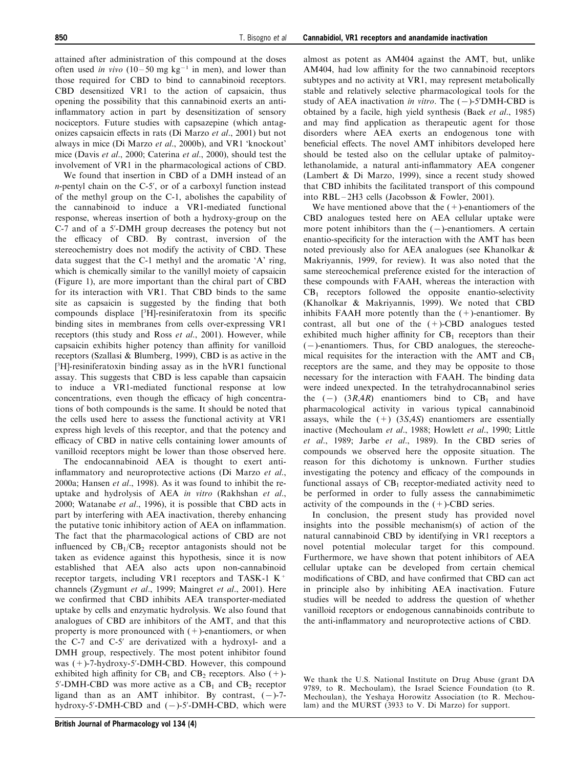attained after administration of this compound at the doses often used in vivo  $(10-50 \text{ mg kg}^{-1} \text{ in men})$ , and lower than those required for CBD to bind to cannabinoid receptors. CBD desensitized VR1 to the action of capsaicin, thus opening the possibility that this cannabinoid exerts an antiinflammatory action in part by desensitization of sensory nociceptors. Future studies with capsazepine (which antagonizes capsaicin effects in rats (Di Marzo *et al.*, 2001) but not always in mice (Di Marzo et al., 2000b), and VR1 `knockout' mice [\(Davis](#page-6-0) [et al](#page-6-0)[., 2000; Caterina](#page-6-0) [et al](#page-6-0)[., 2000](#page-6-0)), should test the involvement of VR1 in the pharmacological actions of CBD.

We found that insertion in CBD of a DMH instead of an n-pentyl chain on the C-5', or of a carboxyl function instead of the methyl group on the C-1, abolishes the capability of the cannabinoid to induce a VR1-mediated functional response, whereas insertion of both a hydroxy-group on the C-7 and of a 5'-DMH group decreases the potency but not the efficacy of CBD. By contrast, inversion of the stereochemistry does not modify the activity of CBD. These data suggest that the C-1 methyl and the aromatic `A' ring, which is chemically similar to the vanillyl moiety of capsaicin (Figure 1), are more important than the chiral part of CBD for its interaction with VR1. That CBD binds to the same site as capsaicin is suggested by the finding that both compounds displace [3H]-resiniferatoxin from its specific binding sites in membranes from cells over-expressing VR1 receptors (this study and [Ross](#page-7-0) [et al](#page-7-0)[., 2001\)](#page-7-0). However, while capsaicin exhibits higher potency than affinity for vanilloid receptors ([Szallasi & Blumberg, 1999](#page-7-0)), CBD is as active in the [ 3 H]-resiniferatoxin binding assay as in the hVR1 functional assay. This suggests that CBD is less capable than capsaicin to induce a VR1-mediated functional response at low concentrations, even though the efficacy of high concentrations of both compounds is the same. It should be noted that the cells used here to assess the functional activity at VR1 express high levels of this receptor, and that the potency and efficacy of CBD in native cells containing lower amounts of vanilloid receptors might be lower than those observed here.

The endocannabinoid AEA is thought to exert antiinflammatory and neuroprotective actions (Di Marzo et al., 2000a; [Hansen](#page-6-0) [et al](#page-6-0)[., 1998\)](#page-6-0). As it was found to inhibit the reuptake and hydrolysis of AEA in vitro ([Rakhshan](#page-7-0) [et al](#page-7-0)[.,](#page-7-0) [2000; Watanabe](#page-7-0) [et al](#page-7-0)[., 1996\)](#page-7-0), it is possible that CBD acts in part by interfering with AEA inactivation, thereby enhancing the putative tonic inhibitory action of AEA on inflammation. The fact that the pharmacological actions of CBD are not influenced by  $CB_1/CB_2$  receptor antagonists should not be taken as evidence against this hypothesis, since it is now established that AEA also acts upon non-cannabinoid receptor targets, including VR1 receptors and TASK-1  $K^+$ channels [\(Zygmunt](#page-7-0) [et al](#page-7-0)[., 1999](#page-7-0); [Maingret](#page-6-0) [et al](#page-6-0)[., 2001](#page-6-0)). Here we confirmed that CBD inhibits AEA transporter-mediated uptake by cells and enzymatic hydrolysis. We also found that analogues of CBD are inhibitors of the AMT, and that this property is more pronounced with  $(+)$ -enantiomers, or when the C-7 and C-5' are derivatized with a hydroxyl- and a DMH group, respectively. The most potent inhibitor found was  $(+)$ -7-hydroxy-5'-DMH-CBD. However, this compound exhibited high affinity for  $CB_1$  and  $CB_2$  receptors. Also (+)-5'-DMH-CBD was more active as a  $CB<sub>1</sub>$  and  $CB<sub>2</sub>$  receptor ligand than as an AMT inhibitor. By contrast,  $(-)$ -7hydroxy-5'-DMH-CBD and  $(-)$ -5'-DMH-CBD, which were

almost as potent as AM404 against the AMT, but, unlike AM404, had low affinity for the two cannabinoid receptors subtypes and no activity at VR1, may represent metabolically stable and relatively selective pharmacological tools for the study of AEA inactivation in vitro. The  $(-)$ -5'DMH-CBD is obtained by a facile, high yield synthesis ([Baek](#page-6-0) [et al](#page-6-0)[., 1985\)](#page-6-0) and may find application as therapeutic agent for those disorders where AEA exerts an endogenous tone with beneficial effects. The novel AMT inhibitors developed here should be tested also on the cellular uptake of palmitoylethanolamide, a natural anti-inflammatory AEA congener (Lambert & Di Marzo, 1999), since a recent study showed that CBD inhibits the facilitated transport of this compound into  $RBL-2H3$  cells ([Jacobsson & Fowler, 2001\)](#page-6-0).

We have mentioned above that the  $(+)$ -enantiomers of the CBD analogues tested here on AEA cellular uptake were more potent inhibitors than the  $(-)$ -enantiomers. A certain enantio-specificity for the interaction with the AMT has been noted previously also for AEA analogues (see [Khanolkar &](#page-6-0) [Makriyannis, 1999,](#page-6-0) for review). It was also noted that the same stereochemical preference existed for the interaction of these compounds with FAAH, whereas the interaction with  $CB<sub>1</sub>$  receptors followed the opposite enantio-selectivity ([Khanolkar & Makriyannis, 1999](#page-6-0)). We noted that CBD inhibits FAAH more potently than the  $(+)$ -enantiomer. By contrast, all but one of the  $(+)$ -CBD analogues tested exhibited much higher affinity for  $CB_1$  receptors than their  $(-)$ -enantiomers. Thus, for CBD analogues, the stereochemical requisites for the interaction with the AMT and  $CB_1$ receptors are the same, and they may be opposite to those necessary for the interaction with FAAH. The binding data were indeed unexpected. In the tetrahydrocannabinol series the  $(-)$   $(3R,4R)$  enantiomers bind to CB<sub>1</sub> and have pharmacological activity in various typical cannabinoid assays, while the  $(+)$   $(3S,4S)$  enantiomers are essentially inactive ([Mechoulam](#page-7-0) [et al](#page-7-0)[., 1988;](#page-7-0) [Howlett](#page-6-0) [et al](#page-6-0)[., 1990](#page-6-0); [Little](#page-6-0) [et al](#page-6-0)[., 1989; Jarbe](#page-6-0) [et al](#page-6-0)[., 1989\)](#page-6-0). In the CBD series of compounds we observed here the opposite situation. The reason for this dichotomy is unknown. Further studies investigating the potency and efficacy of the compounds in functional assays of  $CB_1$  receptor-mediated activity need to be performed in order to fully assess the cannabimimetic activity of the compounds in the  $(+)$ -CBD series.

In conclusion, the present study has provided novel insights into the possible mechanism(s) of action of the natural cannabinoid CBD by identifying in VR1 receptors a novel potential molecular target for this compound. Furthermore, we have shown that potent inhibitors of AEA cellular uptake can be developed from certain chemical modifications of CBD, and have confirmed that CBD can act in principle also by inhibiting AEA inactivation. Future studies will be needed to address the question of whether vanilloid receptors or endogenous cannabinoids contribute to the anti-inflammatory and neuroprotective actions of CBD.

We thank the U.S. National Institute on Drug Abuse (grant DA 9789, to R. Mechoulam), the Israel Science Foundation (to R. Mechoulan), the Yeshaya Horowitz Association (to R. Mechoulam) and the MURST (3933 to V. Di Marzo) for support.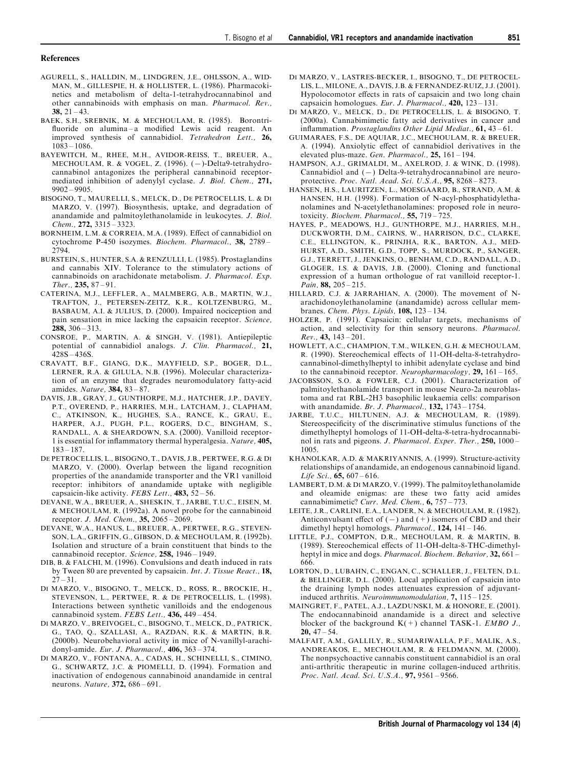#### <span id="page-6-0"></span>References

- AGURELL, S., HALLDIN, M., LINDGREN, J.E., OHLSSON, A., WID-MAN, M., GILLESPIE, H. & HOLLISTER, L. (1986). Pharmacokinetics and metabolism of delta-1-tetrahydrocannabinol and other cannabinoids with emphasis on man. Pharmacol. Rev., 38,  $21 - 43$ .
- BAEK, S.H., SREBNIK, M. & MECHOULAM, R. (1985). Borontri fluoride on alumina-a modified Lewis acid reagent. An improved synthesis of cannabidiol. Tetrahedron Lett., 26,  $10\overline{\smash{\big)}\,3 - 1086.}$
- BAYEWITCH, M., RHEE, M.H., AVIDOR-REISS, T., BREUER, A., MECHOULAM, R. & VOGEL, Z. (1996). (-)-Delta9-tetrahydrocannabinol antagonizes the peripheral cannabinoid receptormediated inhibition of adenylyl cyclase. J. Biol. Chem., 271,  $9902 - 9905$ .
- BISOGNO, T., MAURELLI, S., MELCK, D., DE PETROCELLIS, L. & DI MARZO, V. (1997). Biosynthesis, uptake, and degradation of anandamide and palmitoylethanolamide in leukocytes. J. Biol. Chem.,  $272$ ,  $3315 - 3323$ .
- BORNHEIM, L.M. & CORREIA, M.A. (1989). Effect of cannabidiol on cytochrome P-450 isozymes. Biochem. Pharmacol., 38, 2789 -2794.
- BURSTEIN, S., HUNTER, S.A. & RENZULLI, L. (1985). Prostaglandins and cannabis XIV. Tolerance to the stimulatory actions of cannabinoids on arachidonate metabolism. J. Pharmacol. Exp. Ther.,  $235, 87 - 91$ .
- CATERINA, M.J., LEFFLER, A., MALMBERG, A.B., MARTIN, W.J., TRAFTON, J., PETERSEN-ZEITZ, K.R., KOLTZENBURG, M., BASBAUM, A.I. & JULIUS, D. (2000). Impaired nociception and pain sensation in mice lacking the capsaicin receptor. Science, 288,  $306 - 313$ .
- CONSROE, P., MARTIN, A. & SINGH, V. (1981). Antiepileptic potential of cannabidiol analogs. J. Clin. Pharmacol., 21,  $428S - 436S$ .
- CRAVATT, B.F., GIANG, D.K., MAYFIELD, S.P., BOGER, D.L., LERNER, R.A. & GILULA, N.B. (1996). Molecular characterization of an enzyme that degrades neuromodulatory fatty-acid amides. Nature,  $384$ ,  $83 - 87$ .
- DAVIS, J.B., GRAY, J., GUNTHORPE, M.J., HATCHER, J.P., DAVEY, P.T., OVEREND, P., HARRIES, M.H., LATCHAM, J., CLAPHAM, C., ATKINSON, K., HUGHES, S.A., RANCE, K., GRAU, E., HARPER, A.J., PUGH, P.L., ROGERS, D.C., BINGHAM, S., RANDALL, A. & SHEARDOWN, S.A. (2000). Vanilloid receptor-1 is essential for inflammatory thermal hyperalgesia. Nature, 405,  $183 - 187.$
- DE PETROCELLIS, L., BISOGNO, T., DAVIS, J.B., PERTWEE, R.G. & DI MARZO, V. (2000). Overlap between the ligand recognition properties of the anandamide transporter and the VR1 vanilloid receptor: inhibitors of anandamide uptake with negligible capsaicin-like activity. FEBS Lett., 483,  $\overline{52} - 56$ .
- DEVANE, W.A., BREUER, A., SHESKIN, T., JARBE, T.U.C., EISEN, M. & MECHOULAM, R. (1992a). A novel probe for the cannabinoid receptor. J. Med. Chem.,  $35, 2065 - 2069$ .
- DEVANE, W.A., HANUS, L., BREUER, A., PERTWEE, R.G., STEVEN-SON, L.A., GRIFFIN, G., GIBSON, D. & MECHOULAM, R. (1992b). Isolation and structure of a brain constituent that binds to the cannabinoid receptor. Science,  $258$ ,  $1946 - 1949$ .
- DIB, B. & FALCHI, M. (1996). Convulsions and death induced in rats by Tween 80 are prevented by capsaicin. Int. J. Tissue React., 18,  $27 - 31$
- DI MARZO, V., BISOGNO, T., MELCK, D., ROSS, R., BROCKIE, H., STEVENSON, L., PERTWEE, R. & DE PETROCELLIS, L. (1998). Interactions between synthetic vanilloids and the endogenous cannabinoid system. FEBS Lett.,  $436$ ,  $449 - 454$ .
- DI MARZO, V., BREIVOGEL, C., BISOGNO, T., MELCK, D., PATRICK, G., TAO, Q., SZALLASI, A., RAZDAN, R.K. & MARTIN, B.R. (2000b). Neurobehavioral activity in mice of N-vanillyl-arachidonyl-amide. Eur. J. Pharmacol.,  $406$ ,  $363 - 374$ .
- DI MARZO, V., FONTANA, A., CADAS, H., SCHINELLI, S., CIMINO, G., SCHWARTZ, J.C. & PIOMELLI, D. (1994). Formation and inactivation of endogenous cannabinoid anandamide in central neurons. Nature, 372, 686-691.
- DI MARZO, V., LASTRES-BECKER, I., BISOGNO, T., DE PETROCEL-LIS, L., MILONE, A., DAVIS, J.B. & FERNANDEZ-RUIZ, J.J. (2001). Hypolocomotor effects in rats of capsaicin and two long chain capsaicin homologues. Eur. J. Pharmacol.,  $420$ ,  $123 - 131$ .
- DI MARZO, V., MELCK, D., DE PETROCELLIS, L. & BISOGNO, T. (2000a). Cannabimimetic fatty acid derivatives in cancer and inflammation. Prostaglandins Other Lipid Mediat.,  $61$ ,  $43 - 61$ .
- GUIMARAES, F.S., DE AQUIAR, J.C., MECHOULAM, R. & BREUER, A. (1994). Anxiolytic effect of cannabidiol derivatives in the elevated plus-maze. Gen. Pharmacol.,  $25$ ,  $161 - 194$ .
- HAMPSON, A.J., GRIMALDI, M., AXELROD, J. & WINK, D. (1998). Cannabidiol and  $(-)$  Delta-9-tetrahydrocannabinol are neuroprotective. Proc. Natl. Acad. Sci. U.S.A., 95, 8268-8273.
- HANSEN, H.S., LAURITZEN, L., MOESGAARD, B., STRAND, A.M. & HANSEN, H.H. (1998). Formation of N-acyl-phosphatidylethanolamines and N-acetylethanolamines: proposed role in neurotoxicity. Biochem. Pharmacol.,  $55$ ,  $719 - 725$ .
- HAYES, P., MEADOWS, H.J., GUNTHORPE, M.J., HARRIES, M.H., DUCKWORTH, D.M., CAIRNS, W., HARRISON, D.C., CLARKE, C.E., ELLINGTON, K., PRINJHA, R.K., BARTON, A.J., MED-HURST, A.D., SMITH, G.D., TOPP, S., MURDOCK, P., SANGER, G.J., TERRETT, J., JENKINS, O., BENHAM, C.D., RANDALL, A.D., GLOGER, I.S. & DAVIS, J.B. (2000). Cloning and functional expression of a human orthologue of rat vanilloid receptor-1. Pain,  $88, 205 - 215$ .
- HILLARD, C.J. & JARRAHIAN, A. (2000). The movement of Narachidonoylethanolamine (anandamide) across cellular membranes. Chem. Phys. Lipids,  $108$ ,  $123 - 134$ .
- HOLZER, P. (1991). Capsaicin: cellular targets, mechanisms of action, and selectivity for thin sensory neurons. Pharmacol.  $Rev.$ , 43, 143 – 201.
- HOWLETT, A.C., CHAMPION, T.M., WILKEN, G.H. & MECHOULAM, R. (1990). Stereochemical effects of 11-OH-delta-8-tetrahydrocannabinol-dimethylheptyl to inhibit adenylate cyclase and bind to the cannabinoid receptor. Neuropharmacology,  $29$ ,  $161 - 165$ .
- JACOBSSON, S.O. & FOWLER, C.J. (2001). Characterization of palmitoylethanolamide transport in mouse Neuro-2a neuroblastoma and rat RBL-2H3 basophilic leukaemia cells: comparison with anandamide. Br. J. Pharmacol.,  $132$ ,  $1743 - 1754$ .
- JARBE, T.U.C., HILTUNEN, A.J. & MECHOULAM, R. (1989). Stereospecificity of the discriminative stimulus functions of the dimethylheptyl homologs of 11-OH-delta-8-tetra-hydrocannabinol in rats and pigeons. J. Pharmacol. Exper. Ther.,  $250$ ,  $1000 -$ 1005.
- KHANOLKAR, A.D. & MAKRIYANNIS, A. (1999). Structure-activity relationships of anandamide, an endogenous cannabinoid ligand. Life Sci.,  $65, 607 - 616$ .
- LAMBERT, D.M. & DI MARZO, V. (1999). The palmitoylethanolamide and oleamide enigmas: are these two fatty acid amides cannabimimetic? Curr. Med. Chem.,  $6, 757 - 773$ .
- LEITE, J.R., CARLINI, E.A., LANDER, N. & MECHOULAM, R. (1982). Anticonvulsant effect of  $(-)$  and  $(+)$  isomers of CBD and their dimethyl heptyl homologs. *Pharmacol.*,  $124$ ,  $141 - 146$ .
- LITTLE, P.J., COMPTON, D.R., MECHOULAM, R. & MARTIN, B. (1989). Stereochemical effects of 11-OH-delta-8-THC-dimethylheptyl in mice and dogs. *Pharmacol. Biochem. Behavior*,  $32,661 -$ 666.
- LORTON, D., LUBAHN, C., ENGAN, C., SCHALLER, J., FELTEN, D.L. & BELLINGER, D.L. (2000). Local application of capsaicin into the draining lymph nodes attenuates expression of adjuvantinduced arthritis. Neuroimmunomodulation,  $7, 115 - 125$ .
- MAINGRET, F., PATEL, A.J., LAZDUNSKI, M. & HONORE, E. (2001). The endocannabinoid anandamide is a direct and selective blocker of the background  $K(+)$  channel TASK-1. *EMBO J.*, 20,  $47 - 54$ .
- MALFAIT, A.M., GALLILY, R., SUMARIWALLA, P.F., MALIK, A.S., ANDREAKOS, E., MECHOULAM, R. & FELDMANN, M. (2000). The nonpsychoactive cannabis constituent cannabidiol is an oral anti-arthritic therapeutic in murine collagen-induced arthritis. Proc. Natl. Acad. Sci. U.S.A., 97, 9561-9566.